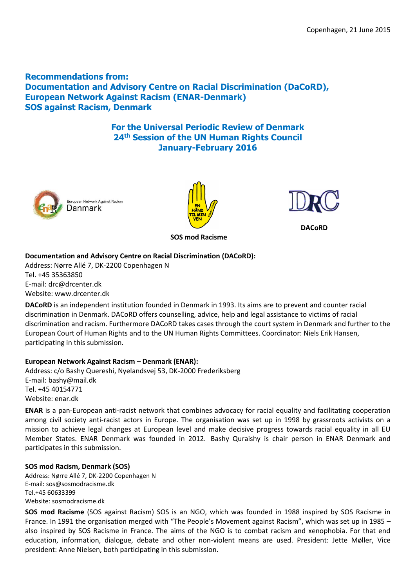# **Recommendations from: Documentation and Advisory Centre on Racial Discrimination (DaCoRD), European Network Against Racism (ENAR-Denmark) SOS against Racism, Denmark**

**For the Universal Periodic Review of Denmark 24th Session of the UN Human Rights Council January-February 2016**





 **SOS mod Racisme**



**DACoRD**

### **Documentation and Advisory Centre on Racial Discrimination (DACoRD):**

Address: Nørre Allé 7, DK-2200 Copenhagen N Tel. +45 35363850 E-mail: drc@drcenter.dk Website: www.drcenter.dk

**DACoRD** is an independent institution founded in Denmark in 1993. Its aims are to prevent and counter racial discrimination in Denmark. DACoRD offers counselling, advice, help and legal assistance to victims of racial discrimination and racism. Furthermore DACoRD takes cases through the court system in Denmark and further to the European Court of Human Rights and to the UN Human Rights Committees. Coordinator: Niels Erik Hansen, participating in this submission.

#### **European Network Against Racism – Denmark (ENAR):**

Address: c/o Bashy Quereshi, Nyelandsvej 53, DK-2000 Frederiksberg E-mail: bashy@mail.dk Tel. +45 40154771 Website: enar.dk

**ENAR** is a pan-European anti-racist network that combines advocacy for racial equality and facilitating cooperation among civil society anti-racist actors in Europe. The organisation was set up in 1998 by grassroots activists on a mission to achieve legal changes at European level and make decisive progress towards racial equality in all EU Member States. ENAR Denmark was founded in 2012. Bashy Quraishy is chair person in ENAR Denmark and participates in this submission.

#### **SOS mod Racism, Denmark (SOS)**

Address: Nørre Allé 7, DK-2200 Copenhagen N E-mail: sos@sosmodracisme.dk Tel.+45 60633399 Website: sosmodracisme.dk

**SOS mod Racisme** (SOS against Racism) SOS is an NGO, which was founded in 1988 inspired by SOS Racisme in France. In 1991 the organisation merged with "The People's Movement against Racism", which was set up in 1985 – also inspired by SOS Racisme in France. The aims of the NGO is to combat racism and xenophobia. For that end education, information, dialogue, debate and other non-violent means are used. President: Jette Møller, Vice president: Anne Nielsen, both participating in this submission.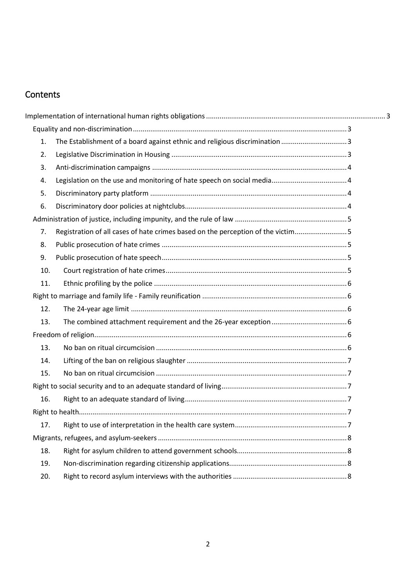# Contents

| 1.  | The Establishment of a board against ethnic and religious discrimination  3     |  |
|-----|---------------------------------------------------------------------------------|--|
| 2.  |                                                                                 |  |
| 3.  |                                                                                 |  |
| 4.  |                                                                                 |  |
| 5.  |                                                                                 |  |
| 6.  |                                                                                 |  |
|     |                                                                                 |  |
| 7.  | Registration of all cases of hate crimes based on the perception of the victim5 |  |
| 8.  |                                                                                 |  |
| 9.  |                                                                                 |  |
| 10. |                                                                                 |  |
| 11. |                                                                                 |  |
|     |                                                                                 |  |
| 12. |                                                                                 |  |
| 13. |                                                                                 |  |
|     |                                                                                 |  |
| 13. |                                                                                 |  |
| 14. |                                                                                 |  |
| 15. |                                                                                 |  |
|     |                                                                                 |  |
| 16. |                                                                                 |  |
|     |                                                                                 |  |
| 17. |                                                                                 |  |
|     |                                                                                 |  |
| 18. |                                                                                 |  |
| 19. |                                                                                 |  |
| 20. |                                                                                 |  |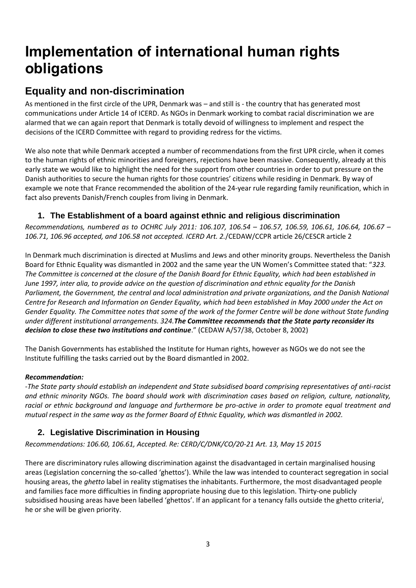# <span id="page-2-0"></span>**Implementation of international human rights obligations**

# <span id="page-2-1"></span>**Equality and non-discrimination**

As mentioned in the first circle of the UPR, Denmark was – and still is - the country that has generated most communications under Article 14 of ICERD. As NGOs in Denmark working to combat racial discrimination we are alarmed that we can again report that Denmark is totally devoid of willingness to implement and respect the decisions of the ICERD Committee with regard to providing redress for the victims.

We also note that while Denmark accepted a number of recommendations from the first UPR circle, when it comes to the human rights of ethnic minorities and foreigners, rejections have been massive. Consequently, already at this early state we would like to highlight the need for the support from other countries in order to put pressure on the Danish authorities to secure the human rights for those countries' citizens while residing in Denmark. By way of example we note that France recommended the abolition of the 24-year rule regarding family reunification, which in fact also prevents Danish/French couples from living in Denmark.

# <span id="page-2-2"></span>**1. The Establishment of a board against ethnic and religious discrimination**

*Recommendations, numbered as to OCHRC July 2011: 106.107, 106.54 – 106.57, 106.59, 106.61, 106.64, 106.67 – 106.71, 106.96 accepted, and 106.58 not accepted. ICERD Art. 2.*/CEDAW/CCPR article 26/CESCR article 2

In Denmark much discrimination is directed at Muslims and Jews and other minority groups. Nevertheless the Danish Board for Ethnic Equality was dismantled in 2002 and the same year the UN Women's Committee stated that: "*323. The Committee is concerned at the closure of the Danish Board for Ethnic Equality, which had been established in June 1997, inter alia, to provide advice on the question of discrimination and ethnic equality for the Danish*  Parliament, the Government, the central and local administration and private organizations, and the Danish National *Centre for Research and Information on Gender Equality, which had been established in May 2000 under the Act on Gender Equality. The Committee notes that some of the work of the former Centre will be done without State funding under different institutional arrangements. 324.The Committee recommends that the State party reconsider its decision to close these two institutions and continue*." (CEDAW A/57/38, October 8, 2002)

The Danish Governments has established the Institute for Human rights, however as NGOs we do not see the Institute fulfilling the tasks carried out by the Board dismantled in 2002.

### *Recommendation:*

*-The State party should establish an independent and State subsidised board comprising representatives of anti-racist and ethnic minority NGOs. The board should work with discrimination cases based on religion, culture, nationality, racial or ethnic background and language and furthermore be pro-active in order to promote equal treatment and mutual respect in the same way as the former Board of Ethnic Equality, which was dismantled in 2002.*

# <span id="page-2-3"></span>**2. Legislative Discrimination in Housing**

*Recommendations: 106.60, 106.61, Accepted. Re: CERD/C/DNK/CO/20-21 Art. 13, May 15 2015*

There are discriminatory rules allowing discrimination against the disadvantaged in certain marginalised housing areas (Legislation concerning the so-called 'ghettos'). While the law was intended to counteract segregation in social housing areas, the *ghetto* label in reality stigmatises the inhabitants. Furthermore, the most disadvantaged people and families face more difficulties in finding appropriate housing due to this legislation. Thirty-one publicly subsidised housing areas have been labelled 'ghettos'. If an applicant for a tenancy falls outside the ghetto criteria<sup>i</sup>, he or she will be given priority.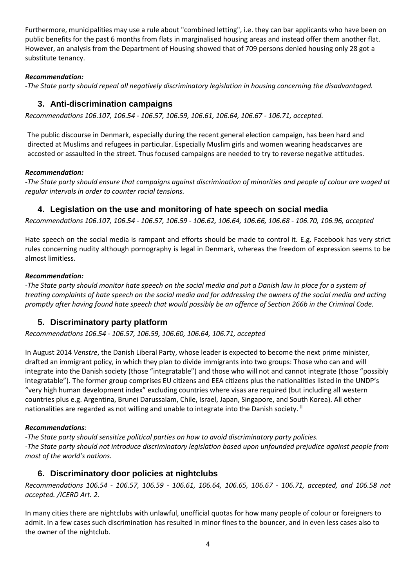Furthermore, municipalities may use a rule about "combined letting", i.e. they can bar applicants who have been on public benefits for the past 6 months from flats in marginalised housing areas and instead offer them another flat. However, an analysis from the Department of Housing showed that of 709 persons denied housing only 28 got a substitute tenancy.

### *Recommendation:*

<span id="page-3-0"></span>*-The State party should repeal all negatively discriminatory legislation in housing concerning the disadvantaged.*

### **3. Anti-discrimination campaigns**

*Recommendations 106.107, 106.54 - 106.57, 106.59, 106.61, 106.64, 106.67 - 106.71, accepted.*

The public discourse in Denmark, especially during the recent general election campaign, has been hard and directed at Muslims and refugees in particular. Especially Muslim girls and women wearing headscarves are accosted or assaulted in the street. Thus focused campaigns are needed to try to reverse negative attitudes.

### *Recommendation:*

*-The State party should ensure that campaigns against discrimination of minorities and people of colour are waged at regular intervals in order to counter racial tensions.*

### <span id="page-3-1"></span>**4. Legislation on the use and monitoring of hate speech on social media**

*Recommendations 106.107, 106.54 - 106.57, 106.59 - 106.62, 106.64, 106.66, 106.68 - 106.70, 106.96, accepted*

Hate speech on the social media is rampant and efforts should be made to control it. E.g. Facebook has very strict rules concerning nudity although pornography is legal in Denmark, whereas the freedom of expression seems to be almost limitless.

### *Recommendation:*

*-The State party should monitor hate speech on the social media and put a Danish law in place for a system of treating complaints of hate speech on the social media and for addressing the owners of the social media and acting promptly after having found hate speech that would possibly be an offence of Section 266b in the Criminal Code.*

# <span id="page-3-2"></span>**5. Discriminatory party platform**

*Recommendations 106.54 - 106.57, 106.59, 106.60, 106.64, 106.71, accepted*

In August 2014 *Venstre*, the Danish Liberal Party, whose leader is expected to become the next prime minister, drafted an immigrant policy, in which they plan to divide immigrants into two groups: Those who can and will integrate into the Danish society (those "integratable") and those who will not and cannot integrate (those "possibly integratable"). The former group comprises EU citizens and EEA citizens plus the nationalities listed in the UNDP's "very high human development index" excluding countries where visas are required (but including all western countries plus e.g. Argentina, Brunei Darussalam, Chile, Israel, Japan, Singapore, and South Korea). All other nationalities are regarded as not willing and unable to integrate into the Danish society. "

### *Recommendations:*

*-The State party should sensitize political parties on how to avoid discriminatory party policies. -The State party should not introduce discriminatory legislation based upon unfounded prejudice against people from most of the world's nations.*

# **6. Discriminatory door policies at nightclubs**

<span id="page-3-3"></span>*Recommendations 106.54 - 106.57, 106.59 - 106.61, 106.64, 106.65, 106.67 - 106.71, accepted, and 106.58 not accepted. /ICERD Art. 2.*

In many cities there are nightclubs with unlawful, unofficial quotas for how many people of colour or foreigners to admit. In a few cases such discrimination has resulted in minor fines to the bouncer, and in even less cases also to the owner of the nightclub.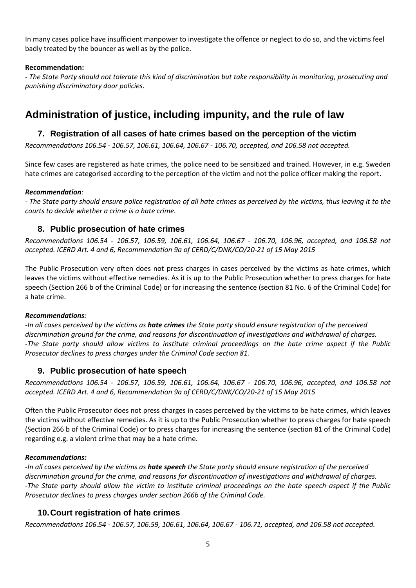In many cases police have insufficient manpower to investigate the offence or neglect to do so, and the victims feel badly treated by the bouncer as well as by the police.

### **Recommendation:**

*- The State Party should not tolerate this kind of discrimination but take responsibility in monitoring, prosecuting and punishing discriminatory door policies.*

# <span id="page-4-0"></span>**Administration of justice, including impunity, and the rule of law**

### <span id="page-4-1"></span>**7. Registration of all cases of hate crimes based on the perception of the victim**

*Recommendations 106.54 - 106.57, 106.61, 106.64, 106.67 - 106.70, accepted, and 106.58 not accepted.*

Since few cases are registered as hate crimes, the police need to be sensitized and trained. However, in e.g. Sweden hate crimes are categorised according to the perception of the victim and not the police officer making the report.

### *Recommendation:*

*- The State party should ensure police registration of all hate crimes as perceived by the victims, thus leaving it to the courts to decide whether a crime is a hate crime.*

### <span id="page-4-2"></span>**8. Public prosecution of hate crimes**

*Recommendations 106.54 - 106.57, 106.59, 106.61, 106.64, 106.67 - 106.70, 106.96, accepted, and 106.58 not accepted. ICERD Art. 4 and 6, Recommendation 9a of CERD/C/DNK/CO/20-21 of 15 May 2015*

The Public Prosecution very often does not press charges in cases perceived by the victims as hate crimes, which leaves the victims without effective remedies. As it is up to the Public Prosecution whether to press charges for hate speech (Section 266 b of the Criminal Code) or for increasing the sentence (section 81 No. 6 of the Criminal Code) for a hate crime.

#### *Recommendations:*

*-In all cases perceived by the victims as hate crimes the State party should ensure registration of the perceived discrimination ground for the crime, and reasons for discontinuation of investigations and withdrawal of charges. -The State party should allow victims to institute criminal proceedings on the hate crime aspect if the Public Prosecutor declines to press charges under the Criminal Code section 81.*

### <span id="page-4-3"></span>**9. Public prosecution of hate speech**

*Recommendations 106.54 - 106.57, 106.59, 106.61, 106.64, 106.67 - 106.70, 106.96, accepted, and 106.58 not accepted. ICERD Art. 4 and 6, Recommendation 9a of CERD/C/DNK/CO/20-21 of 15 May 2015*

Often the Public Prosecutor does not press charges in cases perceived by the victims to be hate crimes, which leaves the victims without effective remedies. As it is up to the Public Prosecution whether to press charges for hate speech (Section 266 b of the Criminal Code) or to press charges for increasing the sentence (section 81 of the Criminal Code) regarding e.g. a violent crime that may be a hate crime.

#### *Recommendations:*

*-In all cases perceived by the victims as hate speech the State party should ensure registration of the perceived discrimination ground for the crime, and reasons for discontinuation of investigations and withdrawal of charges. -The State party should allow the victim to institute criminal proceedings on the hate speech aspect if the Public Prosecutor declines to press charges under section 266b of the Criminal Code.* 

### <span id="page-4-4"></span>**10.Court registration of hate crimes**

*Recommendations 106.54 - 106.57, 106.59, 106.61, 106.64, 106.67 - 106.71, accepted, and 106.58 not accepted.*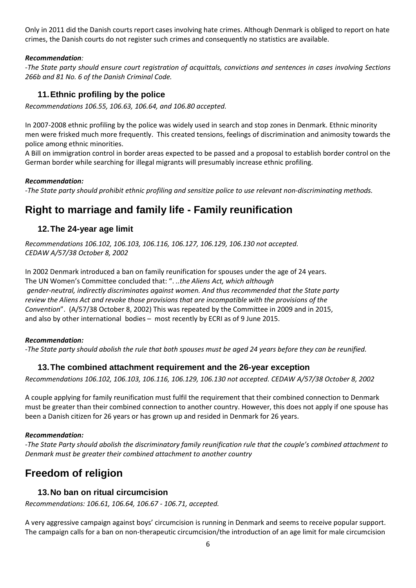Only in 2011 did the Danish courts report cases involving hate crimes. Although Denmark is obliged to report on hate crimes, the Danish courts do not register such crimes and consequently no statistics are available.

### *Recommendation:*

-*The State party should ensure court registration of acquittals, convictions and sentences in cases involving Sections 266b and 81 No. 6 of the Danish Criminal Code.*

### <span id="page-5-0"></span>**11.Ethnic profiling by the police**

*Recommendations 106.55, 106.63, 106.64, and 106.80 accepted.*

In 2007-2008 ethnic profiling by the police was widely used in search and stop zones in Denmark. Ethnic minority men were frisked much more frequently. This created tensions, feelings of discrimination and animosity towards the police among ethnic minorities.

A Bill on immigration control in border areas expected to be passed and a proposal to establish border control on the German border while searching for illegal migrants will presumably increase ethnic profiling.

### *Recommendation:*

*-The State party should prohibit ethnic profiling and sensitize police to use relevant non-discriminating methods.*

# <span id="page-5-2"></span><span id="page-5-1"></span>**Right to marriage and family life - Family reunification**

### **12.The 24-year age limit**

*Recommendations 106.102, 106.103, 106.116, 106.127, 106.129, 106.130 not accepted. CEDAW A/57/38 October 8, 2002*

In 2002 Denmark introduced a ban on family reunification for spouses under the age of 24 years. The UN Women's Committee concluded that: ". *..the Aliens Act, which although gender-neutral, indirectly discriminates against women. And thus recommended that the State party review the Aliens Act and revoke those provisions that are incompatible with the provisions of the Convention*". (A/57/38 October 8, 2002) This was repeated by the Committee in 2009 and in 2015, and also by other international bodies – most recently by ECRI as of 9 June 2015.

### *Recommendation:*

<span id="page-5-3"></span>*-The State party should abolish the rule that both spouses must be aged 24 years before they can be reunified.*

### **13.The combined attachment requirement and the 26-year exception**

*Recommendations 106.102, 106.103, 106.116, 106.129, 106.130 not accepted. CEDAW A/57/38 October 8, 2002*

A couple applying for family reunification must fulfil the requirement that their combined connection to Denmark must be greater than their combined connection to another country. However, this does not apply if one spouse has been a Danish citizen for 26 years or has grown up and resided in Denmark for 26 years.

### *Recommendation:*

*-The State Party should abolish the discriminatory family reunification rule that the couple's combined attachment to Denmark must be greater their combined attachment to another country* 

# <span id="page-5-5"></span><span id="page-5-4"></span>**Freedom of religion**

### **13.No ban on ritual circumcision**

*Recommendations: 106.61, 106.64, 106.67 - 106.71, accepted.*

A very aggressive campaign against boys' circumcision is running in Denmark and seems to receive popular support. The campaign calls for a ban on non-therapeutic circumcision/the introduction of an age limit for male circumcision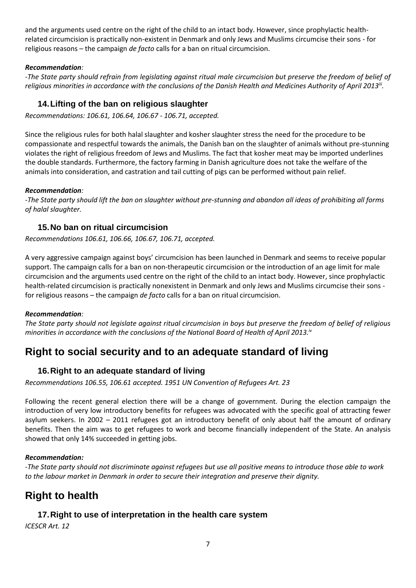and the arguments used centre on the right of the child to an intact body. However, since prophylactic healthrelated circumcision is practically non-existent in Denmark and only Jews and Muslims circumcise their sons - for religious reasons – the campaign *de facto* calls for a ban on ritual circumcision.

### *Recommendation:*

*-The State party should refrain from legislating against ritual male circumcision but preserve the freedom of belief of religious minorities in accordance with the conclusions of the Danish Health and Medicines Authority of April 2013iii .* 

# <span id="page-6-0"></span>**14.Lifting of the ban on religious slaughter**

*Recommendations: 106.61, 106.64, 106.67 - 106.71, accepted.*

Since the religious rules for both halal slaughter and kosher slaughter stress the need for the procedure to be compassionate and respectful towards the animals, the Danish ban on the slaughter of animals without pre-stunning violates the right of religious freedom of Jews and Muslims. The fact that kosher meat may be imported underlines the double standards. Furthermore, the factory farming in Danish agriculture does not take the welfare of the animals into consideration, and castration and tail cutting of pigs can be performed without pain relief.

### *Recommendation:*

*-The State party should lift the ban on slaughter without pre-stunning and abandon all ideas of prohibiting all forms of halal slaughter.*

### <span id="page-6-1"></span>**15.No ban on ritual circumcision**

*Recommendations 106.61, 106.66, 106.67, 106.71, accepted.*

A very aggressive campaign against boys' circumcision has been launched in Denmark and seems to receive popular support. The campaign calls for a ban on non-therapeutic circumcision or the introduction of an age limit for male circumcision and the arguments used centre on the right of the child to an intact body. However, since prophylactic health-related circumcision is practically nonexistent in Denmark and only Jews and Muslims circumcise their sons for religious reasons – the campaign *de facto* calls for a ban on ritual circumcision.

### *Recommendation:*

*The State party should not legislate against ritual circumcision in boys but preserve the freedom of belief of religious minorities in accordance with the conclusions of the National Board of Health of April 2013. iv*

# <span id="page-6-3"></span><span id="page-6-2"></span>**Right to social security and to an adequate standard of living**

# **16.Right to an adequate standard of living**

*Recommendations 106.55, 106.61 accepted. 1951 UN Convention of Refugees Art. 23*

Following the recent general election there will be a change of government. During the election campaign the introduction of very low introductory benefits for refugees was advocated with the specific goal of attracting fewer asylum seekers. In 2002 – 2011 refugees got an introductory benefit of only about half the amount of ordinary benefits. Then the aim was to get refugees to work and become financially independent of the State. An analysis showed that only 14% succeeded in getting jobs.

### *Recommendation:*

*-The State party should not discriminate against refugees but use all positive means to introduce those able to work to the labour market in Denmark in order to secure their integration and preserve their dignity.*

# <span id="page-6-4"></span>**Right to health**

# <span id="page-6-5"></span>**17.Right to use of interpretation in the health care system**

*ICESCR Art. 12*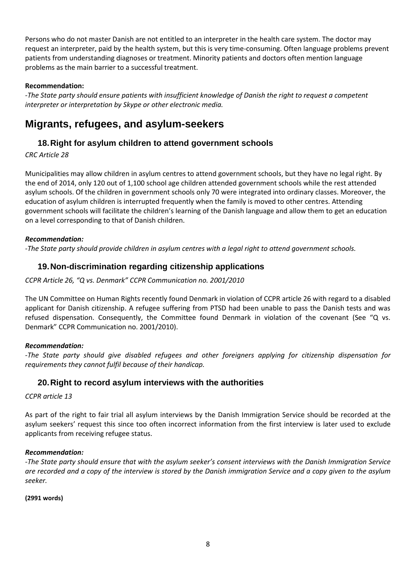Persons who do not master Danish are not entitled to an interpreter in the health care system. The doctor may request an interpreter, paid by the health system, but this is very time-consuming. Often language problems prevent patients from understanding diagnoses or treatment. Minority patients and doctors often mention language problems as the main barrier to a successful treatment.

### **Recommendation:**

*-The State party should ensure patients with insufficient knowledge of Danish the right to request a competent interpreter or interpretation by Skype or other electronic media.*

# <span id="page-7-0"></span>**Migrants, refugees, and asylum-seekers**

### <span id="page-7-1"></span>**18.Right for asylum children to attend government schools**

*CRC Article 28*

Municipalities may allow children in asylum centres to attend government schools, but they have no legal right. By the end of 2014, only 120 out of 1,100 school age children attended government schools while the rest attended asylum schools. Of the children in government schools only 70 were integrated into ordinary classes. Moreover, the education of asylum children is interrupted frequently when the family is moved to other centres. Attending government schools will facilitate the children's learning of the Danish language and allow them to get an education on a level corresponding to that of Danish children.

### *Recommendation:*

<span id="page-7-2"></span>*-The State party should provide children in asylum centres with a legal right to attend government schools.* 

### **19.Non-discrimination regarding citizenship applications**

*CCPR Article 26, "Q vs. Denmark" CCPR Communication no. 2001/2010*

The UN Committee on Human Rights recently found Denmark in violation of CCPR article 26 with regard to a disabled applicant for Danish citizenship. A refugee suffering from PTSD had been unable to pass the Danish tests and was refused dispensation. Consequently, the Committee found Denmark in violation of the covenant (See "Q vs. Denmark" CCPR Communication no. 2001/2010).

#### *Recommendation:*

*-The State party should give disabled refugees and other foreigners applying for citizenship dispensation for requirements they cannot fulfil because of their handicap.*

### <span id="page-7-3"></span>**20.Right to record asylum interviews with the authorities**

*CCPR article 13*

As part of the right to fair trial all asylum interviews by the Danish Immigration Service should be recorded at the asylum seekers' request this since too often incorrect information from the first interview is later used to exclude applicants from receiving refugee status.

### *Recommendation:*

*-The State party should ensure that with the asylum seeker's consent interviews with the Danish Immigration Service are recorded and a copy of the interview is stored by the Danish immigration Service and a copy given to the asylum seeker.* 

**(2991 words)**